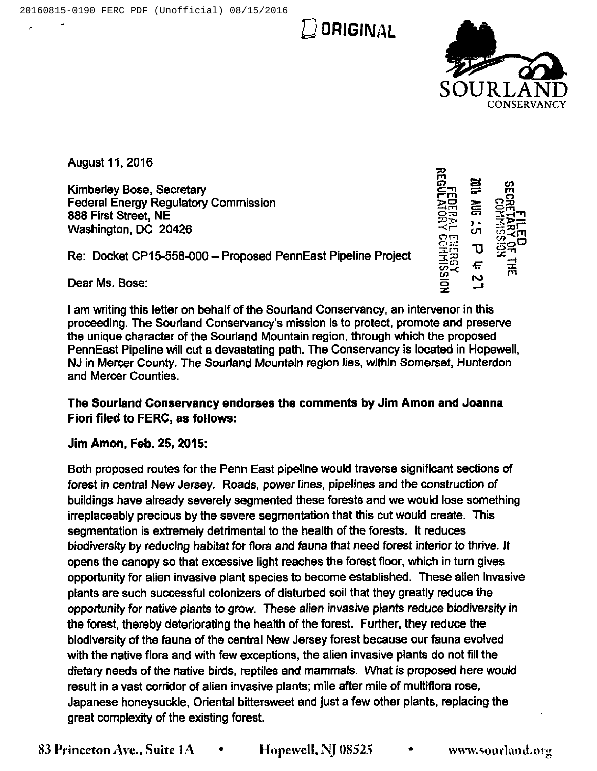$\cup$  Original



CO<br>Cl o⊞ 플링 port<br>Car<br>Co

 $\vec{r}$ 

 $\vec{E}$ 

<u>ن جا</u> ēŦ  $\approx$  $\tilde{\mathbf{C}}$  and  $\frac{1}{2}$  $\frac{1}{2}$  $\frac{1}{2}$  $\frac{1}{2}$  $\frac{1}{2}$  $\frac{1}{2}$  $\frac{1}{2}$  $\bm{\sigma}$ e

August 11,2016

Kimberley Bose, Secretary Federal Energy Regulatory Commission 888 First Street, NE Washington, DC 20426

Re: Docket CP15-558-000 —Proposed PennEast Pipeline Project

Dear Ms. Bose:

<sup>I</sup> am writing this letter on behalf of the Sourland Conservancy, an intervenor in this proceeding. The Sourland Conservancy's mission is to protect, promote and preserve the unique character of the Sourland Mountain region, through which the proposed PennEast Pipeline will cut a devastating path. The Conservancy is located in Hopewell, NJ in Mercer County. The Sourland Mountain region lies, within Somerset, Hunterdon and Mercer Counties.

## The Sourland Conservancy endorses the comments by Jim Amon and Joanna Fiori filed to FERC, as follows:

Jim Amon, Feb. 25, 2015:

Both proposed routes for the Penn East pipeline would traverse significant sections of forest in central New Jersey. Roads, power lines, pipelines and the construction of buildings have already severely segmented these forests and we would lose something irreplaceably precious by the severe segmentation that this cut would create. This segmentation is extremely detrimental to the health of the forests. It reduces biodiversity by reducing habitat for fiora and fauna that need forest interior to thrive. It opens the canopy so that excessive light reaches the forest floor, which in turn gives opportunity for alien invasive plant species to become established. These alien invasive plants are such successful colonizers of disturbed soil that they greatly reduce the opportunity for native plants to grow. These alien invasive plants reduce biodiversity in the forest, thereby deteriorating the health of the forest. Further, they reduce the biodiversity of the fauna of the central New Jersey forest because our fauna evolved with the native flora and with few exceptions, the alien invasive plants do not fill the dietary needs of the native birds, reptiles and mammals. What is proposed here would result in a vast corridor of alien invasive plants; mile after mile of multiflora rose, Japanese honeysuckle, Oriental bittersweet and just a few other plants, replacing the great complexity of the existing forest.

83 Princeton Ave., Suite 1A  $\bullet$  Hopewell, NJ 08525  $\bullet$  www.sourland.org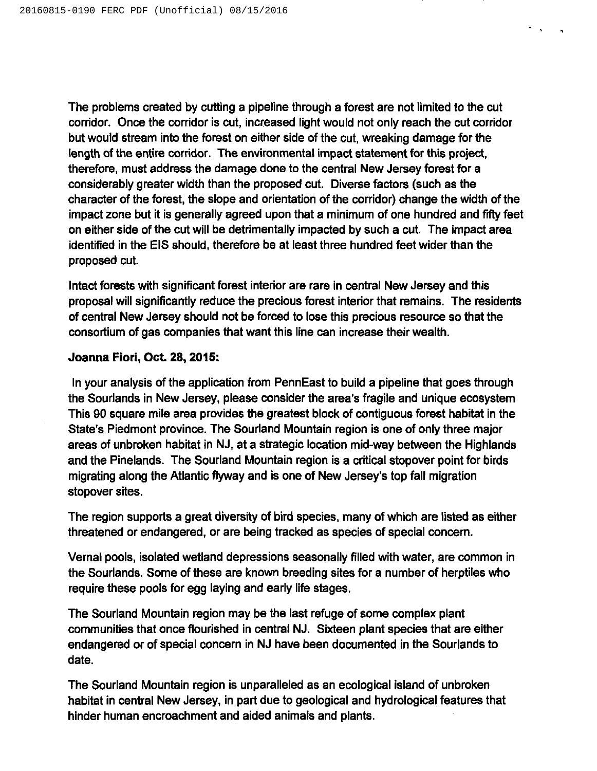The problems created by cutting a pipeline through a forest are not limited to the cut corridor. Once the corridor is cut, increased light would not only reach the cut corridor but would stream into the forest on either side of the cut, wreaking damage for the length of the entire corridor. The environmental impact statement for this project, therefore, must address the damage done to the central New Jersey forest for a considerably greater width than the proposed cut. Diverse factors (such as the character of the forest, the slope and orientation of the corridor) change the width of the impact zone but it is generally agreed upon that a minimum of one hundred and fifty feet on either side of the cut will be detrimentally impacted by such a cut. The impact area identified in the EIS should, therefore be at least three hundred feet wider than the proposed cut.

 $\sigma_{\rm{max}}$ 

Intact forests with significant forest interior are rare in central New Jersey and this proposal will significantly reduce the precious forest interior that remains. The residents of central New Jersey should not be forced to lose this precious resource so that the consortium of gas companies that want this line can increase their wealth.

## Joanna Fiori, Oct. 28, 2015:

In your analysis of the application from PennEast to build a pipeline that goes through the Sourlands in New Jersey, please consider the area's fragile and unique ecosystem This 90 square mile area provides the greatest block of contiguous forest habitat in the State's Piedmont province. The Sourland Mountain region is one of only three major areas of unbroken habitat in NJ, at a strategic location mid-way between the Highlands and the Pinelands. The Sourland Mountain region is a critical stopover point for birds migrating along the Atlantic flyway and is one of New Jersey's top fall migration stopover sites.

The region supports a great diversity of bird species, many of which are listed as either threatened or endangered, or are being tracked as species of special concern.

Vernal pools, isolated wetland depressions seasonally filled with water, are common in the Sourlands. Some of these are known breeding sites for a number of herptiles who require these pools for egg laying and early life stages.

The Sourland Mountain region may be the last refuge of some complex plant communities that once flourished in central NJ. Sixteen plant species that are either endangered or of special concern in NJ have been documented in the Sourlands to date.

The Sourland Mountain region is unparalleled as an ecological island of unbroken habitat in central New Jersey, in part due to geological and hydrological features that hinder human encroachment and aided animals and plants.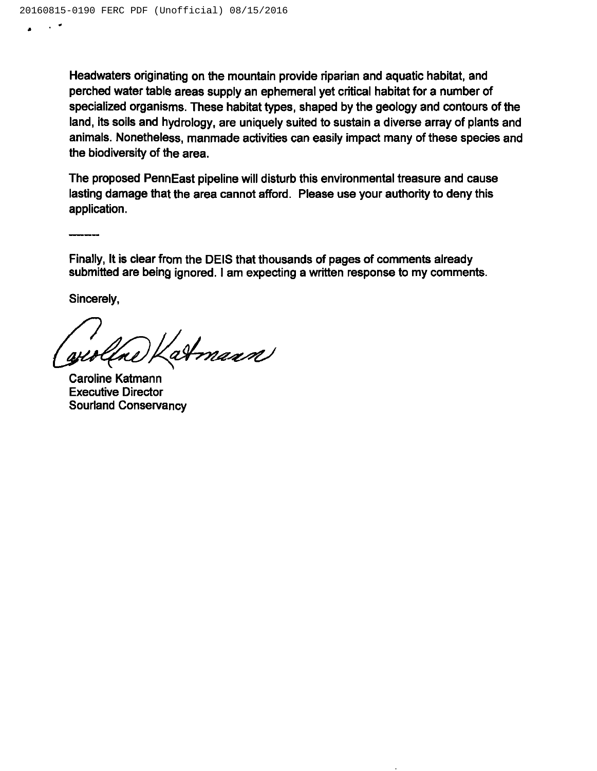Headwaters originating on the mountain provide riparian and aquatic habitat, and perched water table areas supply an ephemeral yet critical habitat for a number of specialized organisms. These habitat types, shaped by the geology and contours of the land, its soils and hydrology, are uniquely suited to sustain a diverse array of plants and animals. Nonetheless, manmade activities can easily impact many of these species and the biodiversity of the area.

The proposed PennEast pipeline will disturb this environmental treasure and cause lasting damage that the area cannot afford. Please use your authority to deny this application.

Finally, It is clear from the DEIS that thousands of pages of comments already submitted are being ignored. <sup>I</sup> am expecting a written response to my comments.

Sincerely,

atmann

Caroline Katmann Executive Director Sourland Conservancy